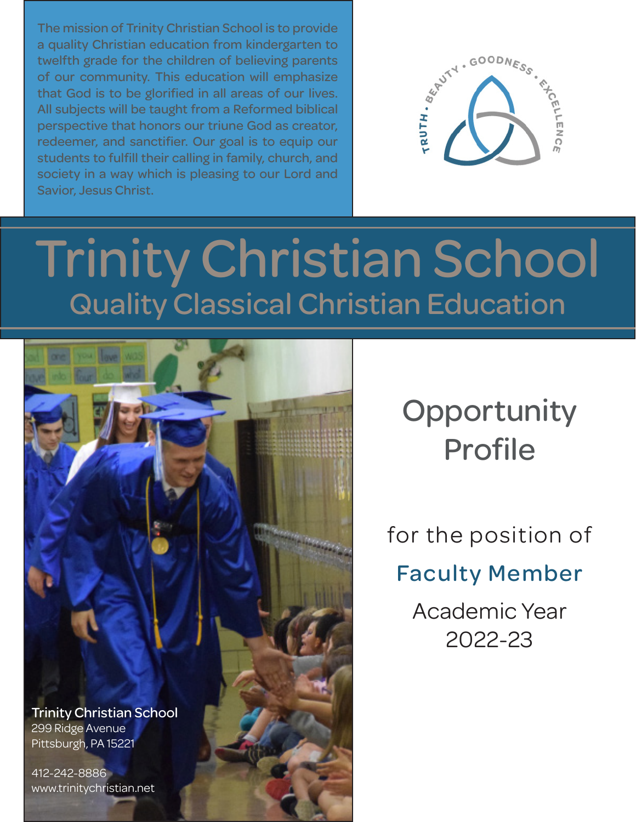The mission of Trinity Christian School is to provide a quality Christian education from kindergarten to twelfth grade for the children of believing parents of our community. This education will emphasize that God is to be glorified in all areas of our lives. All subjects will be taught from a Reformed biblical perspective that honors our triune God as creator, redeemer, and sanctifier. Our goal is to equip our students to fulfill their calling in family, church, and society in a way which is pleasing to our Lord and Savior, Jesus Christ.



# Trinity Christian School Quality Classical Christian Education



### **Opportunity** Profile

# for the position of Faculty Member

Academic Year 2022-23